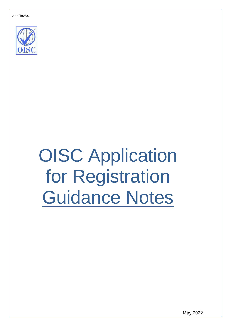AFR/1905/01



# OISC Application for Registration Guidance Notes

May 2022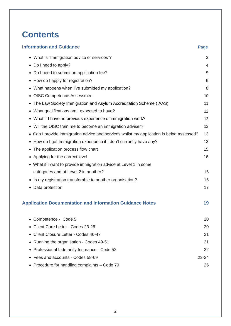## **Contents**

| <b>Information and Guidance</b>                                                          | <b>Page</b> |
|------------------------------------------------------------------------------------------|-------------|
| • What is "Immigration advice or services"?                                              | 3           |
| • Do I need to apply?                                                                    | 4           |
| • Do I need to submit an application fee?                                                | 5           |
| • How do I apply for registration?                                                       | 6           |
| • What happens when I've submitted my application?                                       | 8           |
| • OISC Competence Assessment                                                             | 10          |
| • The Law Society Immigration and Asylum Accreditation Scheme (IAAS)                     | 11          |
| • What qualifications am I expected to have?                                             | 12          |
| • What if I have no previous experience of immigration work?                             | 12          |
| • Will the OISC train me to become an immigration adviser?                               | 12          |
| • Can I provide immigration advice and services whilst my application is being assessed? | 13          |
| • How do I get Immigration experience if I don't currently have any?                     | 13          |
| • The application process flow chart                                                     | 15          |
| • Applying for the correct level                                                         | 16          |
| • What if I want to provide immigration advice at Level 1 in some                        |             |
| categories and at Level 2 in another?                                                    | 16          |
| • Is my registration transferable to another organisation?                               | 16          |
| • Data protection                                                                        | 17          |
| <b>Application Documentation and Information Guidance Notes</b>                          | 19          |
| Competence - Code 5                                                                      | 20          |
| • Client Care Letter - Codes 23-26                                                       | 20          |
| Client Closure Letter - Codes 46-47                                                      | 21          |
| • Running the organisation - Codes 49-51                                                 | 21          |
| • Professional Indemnity Insurance - Code 52                                             | 22          |
| • Fees and accounts - Codes 58-69                                                        | 23-24       |
| • Procedure for handling complaints - Code 79                                            | 25          |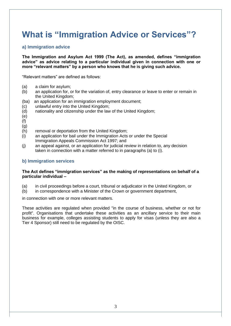## **What is "Immigration Advice or Services"?**

## **a) Immigration advice**

**The Immigration and Asylum Act 1999 (The Act), as amended, defines "immigration advice" as advice relating to a particular individual given in connection with one or more "relevant matters" by a person who knows that he is giving such advice.**

"Relevant matters" are defined as follows:

- (a) a claim for asylum;
- (b) an application for, or for the variation of, entry clearance or leave to enter or remain in the United Kingdom;
- (ba) an application for an immigration employment document;
- (c) unlawful entry into the United Kingdom;
- (d) nationality and citizenship under the law of the United Kingdom;
- (e)
- (f)
- (g)
- (h) removal or deportation from the United Kingdom;
- (i) an application for bail under the Immigration Acts or under the Special Immigration Appeals Commission Act 1997; and
- (j) an appeal against, or an application for judicial review in relation to, any decision taken in connection with a matter referred to in paragraphs (a) to (i).

### **b) Immigration services**

### **The Act defines "immigration services" as the making of representations on behalf of a particular individual –**

- (a) in civil proceedings before a court, tribunal or adjudicator in the United Kingdom, or
- (b) in correspondence with a Minister of the Crown or government department,

in connection with one or more relevant matters.

These activities are regulated when provided "in the course of business, whether or not for profit". Organisations that undertake these activities as an ancillary service to their main business for example, colleges assisting students to apply for visas (unless they are also a Tier 4 Sponsor) still need to be regulated by the OISC.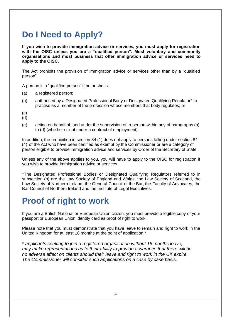## **Do I Need to Apply?**

**If you wish to provide immigration advice or services, you must apply for registration with the OISC unless you are a "qualified person". Most voluntary and community organisations and most business that offer immigration advice or services need to apply to the OISC.**

The Act prohibits the provision of immigration advice or services other than by a "qualified person".

A person is a "qualified person" if he or she is:

- (a) a registered person;
- (b) authorised by a Designated Professional Body or Designated Qualifying Regulator**\*** to practise as a member of the profession whose members that body regulates; or
- (c)
- $(d)$
- (e) acting on behalf of, and under the supervision of, a person within any of paragraphs (a) to (d) (whether or not under a contract of employment).

In addition, the prohibition in section 84 (1) does not apply to persons falling under section 84 (4) of the Act who have been certified as exempt by the Commissioner or are a category of person eligible to provide immigration advice and services by Order of the Secretary of State.

Unless any of the above applies to you, you will have to apply to the OISC for registration if you wish to provide immigration advice or services.

**\***The Designated Professional Bodies or Designated Qualifying Regulators referred to in subsection (b) are the Law Society of England and Wales, the Law Society of Scotland, the Law Society of Northern Ireland, the General Council of the Bar, the Faculty of Advocates, the Bar Council of Northern Ireland and the Institute of Legal Executives.

## **Proof of right to work**

If you are a British National or European Union citizen, you must provide a legible copy of your passport or European Union identity card as proof of right to work.

Please note that you must demonstrate that you have leave to remain and right to work in the United Kingdom for at least 18 months at the point of application.\*

\* *applicants seeking to join a registered organisation without 18 months leave, may make representations as to their ability to provide assurance that there will be no adverse affect on clients should their leave and right to work in the UK expire. The Commissioner will consider such applications on a case by case basis.*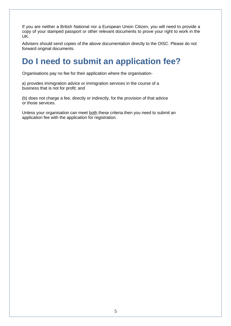If you are neither a British National nor a European Union Citizen, you will need to provide a copy of your stamped passport or other relevant documents to prove your right to work in the UK.

Advisers should send copies of the above documentation directly to the OISC. Please do not forward original documents.

## **Do I need to submit an application fee?**

Organisations pay no fee for their application where the organisation-

a) provides immigration advice or immigration services in the course of a business that is not for profit; and

(b) does not charge a fee, directly or indirectly, for the provision of that advice or those services.

Unless your organisation can meet both these criteria then you need to submit an application fee with the application for registration.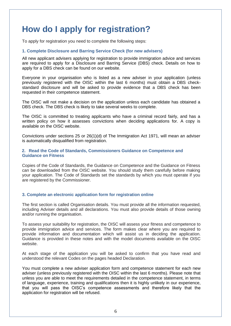## **How do I apply for registration?**

To apply for registration you need to complete the following steps:

#### **1. Complete Disclosure and Barring Service Check (for new advisers)**

All new applicant advisers applying for registration to provide immigration advice and services are required to apply for a Disclosure and Barring Service (DBS) check. Details on how to apply for a DBS check can be found on our website.

Everyone in your organisation who is listed as a new adviser in your application (unless previously registered with the OISC within the last 6 months) must obtain a DBS checkstandard disclosure and will be asked to provide evidence that a DBS check has been requested in their competence statement.

The OISC will not make a decision on the application unless each candidate has obtained a DBS check. The DBS check is likely to take several weeks to complete.

The OISC is committed to treating applicants who have a criminal record fairly, and has a written policy on how it assesses convictions when deciding applications for. A copy is available on the OISC website.

Convictions under sections 25 or 26(1)(d) of The Immigration Act 1971, will mean an adviser is automatically disqualified from registration.

#### **2. Read the Code of Standards, Commissioners Guidance on Competence and Guidance on Fitness**

Copies of the Code of Standards, the Guidance on Competence and the Guidance on Fitness can be downloaded from the OISC website. You should study them carefully before making your application. The Code of Standards set the standards by which you must operate if you are registered by the Commissioner.

#### **3. Complete an electronic application form for registration online**

The first section is called Organisation details. You must provide all the information requested, including Adviser details and all declarations. You must also provide details of those owning and/or running the organisation.

To assess your suitability for registration, the OISC will assess your fitness and competence to provide immigration advice and services. The form makes clear where you are required to provide information and documentation which will assist us in deciding the application. Guidance is provided in these notes and with the model documents available on the OISC website.

At each stage of the application you will be asked to confirm that you have read and understood the relevant Codes on the pages headed Declaration.

You must complete a new adviser application form and competence statement for each new adviser (unless previously registered with the OISC within the last 6 months). Please note that unless you are able to meet the requirements detailed in the competence statement, in terms of language, experience, training and qualifications then it is highly unlikely in our experience, that you will pass the OISC's competence assessments and therefore likely that the application for registration will be refused.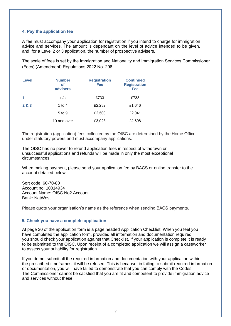### **4. Pay the application fee**

A fee must accompany your application for registration if you intend to charge for immigration advice and services. The amount is dependant on the level of advice intended to be given, and, for a Level 2 or 3 application, the number of prospective advisers.

The scale of fees is set by the Immigration and Nationality and Immigration Services Commissioner (Fees) (Amendment) Regulations 2022 No. 296

| <b>Level</b> | <b>Number</b><br>оf<br>advisers | <b>Registration</b><br>Fee | <b>Continued</b><br><b>Registration</b><br>Fee |
|--------------|---------------------------------|----------------------------|------------------------------------------------|
| 1            | n/a                             | £733                       | £733                                           |
| 2 & 3        | 1 to 4                          | £2,232                     | £1,646                                         |
|              | 5 to 9                          | £2,500                     | £2,041                                         |
|              | 10 and over                     | £3,023                     | £2,698                                         |

The registration (application) fees collected by the OISC are determined by the Home Office under statutory powers and must accompany applications.

The OISC has no power to refund application fees in respect of withdrawn or unsuccessful applications and refunds will be made in only the most exceptional circumstances.

When making payment, please send your application fee by BACS or online transfer to the account detailed below:

Sort code: 60-70-80 Account no: 10014934 Account Name: OISC No2 Account Bank: NatWest

Please quote your organisation's name as the reference when sending BACS payments.

#### **5. Check you have a complete application**

At page 20 of the application form is a page headed Application Checklist. When you feel you have completed the application form, provided all information and documentation required, you should check your application against that Checklist. If your application is complete it is ready to be submitted to the OISC. Upon receipt of a completed application we will assign a caseworker to assess your suitability for registration.

If you do not submit all the required information and documentation with your application within the prescribed timeframes, it will be refused. This is because, in failing to submit required information or documentation, you will have failed to demonstrate that you can comply with the Codes. The Commissioner cannot be satisfied that you are fit and competent to provide immigration advice and services without these.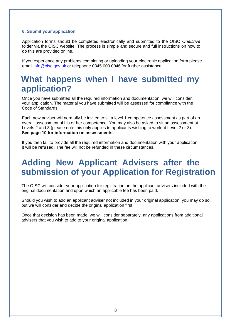### **6. Submit your application**

Application forms should be completed electronically and submitted to the OISC *OneDrive* folder via the OISC website. The process is simple and secure and full instructions on how to do this are provided online.

If you experience any problems completing or uploading your electronic application form please email [info@oisc.gov.uk](mailto:info@oisc.gov.uk) or telephone 0345 000 0046 for further assistance.

## **What happens when I have submitted my application?**

Once you have submitted all the required information and documentation, we will consider your application. The material you have submitted will be assessed for compliance with the Code of Standards.

Each new adviser will normally be invited to sit a level 1 competence assessment as part of an overall assessment of his or her competence. You may also be asked to sit an assessment at Levels 2 and 3 (please note this only applies to applicants wishing to work at Level 2 or 3). **See page 10 for information on assessments.**

If you then fail to provide all the required information and documentation with your application, it will be **refused**. The fee will not be refunded in these circumstances.

## **Adding New Applicant Advisers after the submission of your Application for Registration**

The OISC will consider your application for registration on the applicant advisers included with the original documentation and upon which an applicable fee has been paid.

Should you wish to add an applicant adviser not included in your original application, you may do so, but we will consider and decide the original application first.

Once that decision has been made, we will consider separately, any applications from additional advisers that you wish to add to your original application.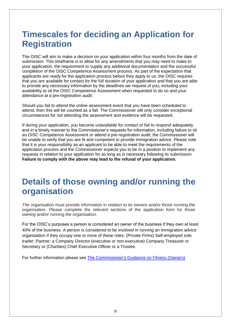## **Timescales for deciding an Application for Registration**

The OISC will aim to make a decision on your application within four months from the date of submission. This timeframe is to allow for any amendments that you may need to make to your application, the requirement to supply any additional documentation and the successful completion of the OISC Competence Assessment process. As part of the expectation that applicants are ready for the application process before they apply to us, the OISC requires that you are available for contact for the full duration of your application and that you are able to provide any necessary information by the deadlines we request of you, including your availability to sit the OISC Competence Assessment when requested to do so and your attendance at a pre-registration audit.

Should you fail to attend the online assessment event that you have been scheduled to attend, then this will be counted as a fail. The Commissioner will only consider exceptional circumstances for not attending the assessment and evidence will be requested.

If during your application, you become unavailable for contact or fail to respond adequately and in a timely manner to the Commissioner's requests for information, including failure to sit an OISC Competence Assessment or attend a pre-registration audit, the Commissioner will be unable to verify that you are fit and competent to provide immigration advice. Please note that it is your responsibility as an applicant to be able to meet the requirements of the application process and the Commissioner expects you to be in a position to implement any requests in relation to your application for as long as is necessary following its submission. **Failure to comply with the above may lead to the refusal of your application.**

## **Details of those owning and/or running the organisation**

The organisation must provide information in relation to its owners and/or those running the organisation. Please complete the relevant sections of the application form for those owning and/or running the organisation.

For the OISC's purposes a person is considered an owner of the business if they own at least 40% of the business. A person is considered to be involved in running an immigration advice organisation if they occupy one or more of these roles: (Private Firms) Self-employed sole trader; Partner; a Company Director (executive or non-executive) Company Treasurer or Secretary or (Charities) Chief Executive Officer or a Trustee.

For further information please see [The Commissioner's Guidance on Fitness \(Owners\)](http://oisc.homeoffice.gov.uk/servefile.aspx?docid=398)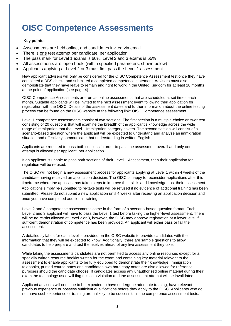## **OISC Competence Assessments**

#### **Key points:**

- Assessments are held online, and candidates invited via email
- There is one test attempt per candidate, per application
- The pass mark for Level 1 exams is 60%, Level 2 and 3 exams is 65%
- All assessments are 'open book' (within specified parameters, shown below)
- Applicants applying at Level 2 or 3 must first pass the Level 1 assessment

New applicant advisers will only be considered for the OISC Competence Assessment test once they have completed a DBS check, and submitted a completed competence statement. Advisers must also demonstrate that they have leave to remain and right to work in the United Kingdom for at least 18 months at the point of application (see page 4).

OISC Competence Assessments are run as online assessments that are scheduled at set times each month. Suitable applicants will be invited to the next assessment event following their application for registration with the OISC. Details of the assessment dates and further information about the online testing process can be found on the OISC website at the following link: OISC Competence assessment

Level 1 competence assessments consist of two sections. The first section is a multiple-choice answer test consisting of 20 questions that will examine the breadth of the applicant's knowledge across the wide range of immigration that the Level 1 Immigration category covers. The second section will consist of a scenario-based question where the applicant will be expected to understand and analyse an immigration situation and effectively communicate that understanding in written English.

Applicants are required to pass both sections in order to pass the assessment overall and only one attempt is allowed per applicant, per application.

If an applicant is unable to pass both sections of their Level 1 Assessment, then their application for regulation will be refused.

The OISC will not begin a new assessment process for applicants applying at Level 1 within 4 weeks of the candidate having received an application decision. The OISC is happy to reconsider applications after this timeframe where the applicant has taken steps to improve their skills and knowledge post their assessment. Applications simply re-submitted to re-take tests will be refused if no evidence of additional training has been submitted. Please do not submit a new application until 4 weeks after receiving an application decision and once you have completed additional training.

Level 2 and 3 competence assessments come in the form of a scenario-based question format. Each Level 2 and 3 applicant will have to pass the Level 1 test before taking the higher-level assessment. There will be no re-sits allowed at Level 2 or 3, however, the OISC may approve registration at a lower level if sufficient demonstration of competence has been provided. An applicant will either pass or fail the assessment.

A detailed syllabus for each level is provided on the OISC website to provide candidates with the information that they will be expected to know. Additionally, there are sample questions to allow candidates to help prepare and test themselves ahead of any live assessment they take.

While taking the assessments candidates are not permitted to access any online resources except for a specially written resource booklet written for the exam and containing key material relevant to the assessment to enable applicants to be fully equipped to demonstrate their knowledge. Immigration textbooks, printed course notes and candidates own hard copy notes are also allowed for reference purposes should the candidate choose. If candidates access any unauthorised online material during their exam the technology used will flag this as a violation and the assessment attempt will be invalidated.

Applicant advisers will continue to be expected to have undergone adequate training, have relevant previous experience or possess sufficient qualifications before they apply to the OISC. Applicants who do not have such experience or training are unlikely to be successful in the competence assessment tests.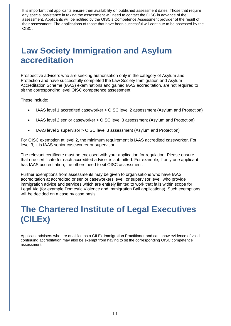It is important that applicants ensure their availability on published assessment dates. Those that require any special assistance in taking the assessment will need to contact the OISC in advance of the assessment. Applicants will be notified by the OISC's Competence Assessment provider of the result of their assessment. The applications of those that have been successful will continue to be assessed by the OISC.

## **Law Society Immigration and Asylum accreditation**

Prospective advisers who are seeking authorisation only in the category of Asylum and Protection and have successfully completed the Law Society Immigration and Asylum Accreditation Scheme (IAAS) examinations and gained IAAS accreditation, are not required to sit the corresponding level OISC competence assessment.

These include:

- IAAS level 1 accredited caseworker > OISC level 2 assessment (Asylum and Protection)
- IAAS level 2 senior caseworker > OISC level 3 assessment (Asylum and Protection)
- IAAS level 2 supervisor > OISC level 3 assessment (Asylum and Protection)

For OISC exemption at level 2, the minimum requirement is IAAS accredited caseworker. For level 3, it is IAAS senior caseworker or supervisor.

The relevant certificate must be enclosed with your application for regulation. Please ensure that one certificate for each accredited adviser is submitted. For example, if only one applicant has IAAS accreditation, the others need to sit OISC assessment.

Further exemptions from assessments may be given to organisations who have IAAS accreditation at accredited or senior caseworkers level, or supervisor level, who provide immigration advice and services which are entirely limited to work that falls within scope for Legal Aid (for example Domestic Violence and Immigration Bail applications). Such exemptions will be decided on a case by case basis.

## **The Chartered Institute of Legal Executives (CILEx)**

Applicant advisers who are qualified as a CILEx Immigration Practitioner and can show evidence of valid continuing accreditation may also be exempt from having to sit the corresponding OISC competence assessment.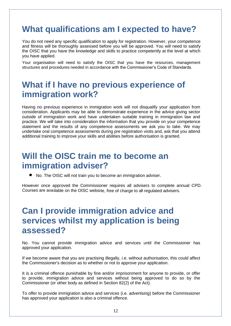## **What qualifications am I expected to have?**

You do not need any specific qualification to apply for registration. However, your competence and fitness will be thoroughly assessed before you will be approved. You will need to satisfy the OISC that you have the knowledge and skills to practice competently at the level at which you have applied.

Your organisation will need to satisfy the OISC that you have the resources, management structures and procedures needed in accordance with the Commissioner's Code of Standards.

## **What if I have no previous experience of immigration work?**

Having no previous experience in immigration work will not disqualify your application from consideration. Applicants may be able to demonstrate experience in the advice giving sector outside of immigration work and have undertaken suitable training in immigration law and practice. We will take into consideration the information that you provide on your competence statement and the results of any competence assessments we ask you to take. We may undertake oral competence assessments during pre registration visits and, ask that you attend additional training to improve your skills and abilities before authorisation is granted.

## **Will the OISC train me to become an immigration adviser?**

• No. The OISC will not train you to become an immigration adviser.

However once approved the Commissioner requires all advisers to complete annual CPD. Courses are available on the OISC website, free of charge to all regulated advisers.

## **Can I provide immigration advice and services whilst my application is being assessed?**

No. You cannot provide immigration advice and services until the Commissioner has approved your application.

If we become aware that you are practising illegally, i.e. without authorisation, this could affect the Commissioner's decision as to whether or not to approve your application.

It is a criminal offence punishable by fine and/or imprisonment for anyone to provide, or offer to provide, immigration advice and services without being approved to do so by the Commissioner (or other body as defined in Section 82(2) of the Act).

To offer to provide immigration advice and services (i.e. advertising) before the Commissioner has approved your application is also a criminal offence.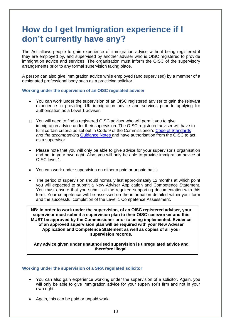## **How do I get Immigration experience if I don't currently have any?**

The Act allows people to gain experience of immigration advice without being registered if they are employed by, and supervised by another adviser who is OISC registered to provide immigration advice and services. The organisation must inform the OISC of the supervisory arrangements prior to any formal supervision taking place.

A person can also give immigration advice while employed (and supervised) by a member of a designated professional body such as a practicing solicitor.

#### **Working under the supervision of an OISC regulated adviser**

- You can work under the supervision of an OISC registered adviser to gain the relevant experience in providing UK immigration advice and services prior to applying for authorisation as a Level 1 adviser.
- $\Box$  You will need to find a registered OISC adviser who will permit you to give immigration advice under their supervision. The OISC registered adviser will have to fulfil certain criteria as set out in Code 9 of the Commissioner's [Code of Standards](https://www.gov.uk/government/uploads/system/uploads/attachment_data/file/458698/Code_of_Standards_2016.pdf) *and the accompanying* [Guidance Notes](https://www.gov.uk/government/uploads/system/uploads/attachment_data/file/458700/Guidance_Notes_to_accompany_the_Code_of_Standards_April_2016__2_.pdf) and have authorisation from the OISC to act as a supervisor
- Please note that you will only be able to give advice for your supervisor's organisation and not in your own right. Also, you will only be able to provide immigration advice at OISC level 1.
- You can work under supervision on either a paid or unpaid basis.
- The period of supervision should normally last approximately 12 months at which point you will expected to submit a New Adviser Application and Competence Statement. You must ensure that you submit all the required supporting documentation with this form. Your competence will be assessed on the information detailed within your form and the successful completion of the Level 1 Competence Assessment.

**NB: In order to work under the supervision, of an OISC registered adviser, your supervisor must submit a supervision plan to their OISC caseworker and this MUST be approved by the Commissioner prior to being implemented. Evidence of an approved supervision plan will be required with your New Adviser Application and Competence Statement as well as copies of all your supervision records.**

**Any advice given under unauthorised supervision is unregulated advice and therefore illegal.**

#### **Working under the supervision of a SRA regulated solicitor**

- You can also gain experience working under the supervision of a solicitor. Again, you will only be able to give immigration advice for your supervisor's firm and not in your own right.
- Again, this can be paid or unpaid work.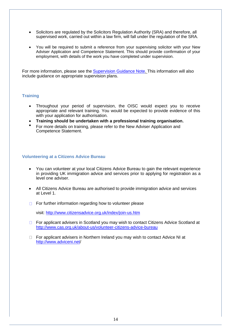- Solicitors are regulated by the Solicitors Regulation Authority (SRA) and therefore, all supervised work, carried out within a law firm, will fall under the regulation of the SRA.
- You will be required to submit a reference from your supervising solicitor with your New Adviser Application and Competence Statement. This should provide confirmation of your employment, with details of the work you have completed under supervision.

For more information, please see the [Supervision Guidance Note. T](http://oisc.homeoffice.gov.uk/servefile.aspx?docid=231)his information will also include guidance on appropriate supervision plans.

### **Training**

- Throughout your period of supervision, the OISC would expect you to receive appropriate and relevant training. You would be expected to provide evidence of this with your application for authorisation.
- **Training should be undertaken with a professional training organisation.**
- For more details on training, please refer to the New Adviser Application and Competence Statement.

#### **Volunteering at a Citizens Advice Bureau**

- You can volunteer at your local Citizens Advice Bureau to gain the relevant experience in providing UK immigration advice and services prior to applying for registration as a level one adviser.
- All Citizens Advice Bureau are authorised to provide immigration advice and services at Level 1.
- $\Box$  For further information regarding how to volunteer please

visit:<http://www.citizensadvice.org.uk/index/join-us.htm>

- □ For applicant advisers in Scotland you may wish to contact Citizens Advice Scotland at <http://www.cas.org.uk/about-us/volunteer-citizens-advice-bureau>
- $\Box$  For applicant advisers in Northern Ireland you may wish to contact Advice NI at <http://www.adviceni.net/>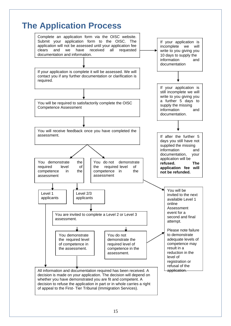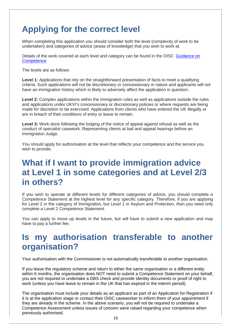## **Applying for the correct level**

When completing this application you should consider both the level (complexity of work to be undertaken) and categories of advice (areas of knowledge) that you wish to work at.

Details of the work covered at each level and category can be found in the OISC [Guidance](https://assets.publishing.service.gov.uk/government/uploads/system/uploads/attachment_data/file/604807/OISC_GoC_2017.pdf) on **[Competence](https://assets.publishing.service.gov.uk/government/uploads/system/uploads/attachment_data/file/604807/OISC_GoC_2017.pdf)** 

The levels are as follows:

**Level 1:** Applications that rely on the straightforward presentation of facts to meet a qualifying criteria. Such applications will not be discretionary or concessionary in nature and applicants will not have an immigration history which is likely to adversely affect the application in question.

**Level 2:** Complex applications within the immigration rules as well as applications outside the rules and applications under UKVI's concessionary or discretionary policies or where requests are being made for discretion to be exercised. Applications from clients who have entered the UK illegally or are in breach of their conditions of entry or leave to remain.

**Level 3:** Work done following the lodging of the notice of appeal against refusal as well as the conduct of specialist casework. Representing clients at bail and appeal hearings before an Immigration Judge.

You should apply for authorisation at the level that reflects your competence and the service you wish to provide.

## **What if I want to provide immigration advice at Level 1 in some categories and at Level 2/3 in others?**

If you wish to operate at different levels for different categories of advice, you should complete a Competence Statement at the highest level for any specific category. Therefore, if you are applying for Level 2 in the category of Immigration, but Level 1 in Asylum and Protection, then you need only complete a Level 2 Competence Statement.

You can apply to move up levels in the future, but will have to submit a new application and may have to pay a further fee.

## **Is my authorisation transferable to another organisation?**

Your authorisation with the Commissioner is not automatically transferable to another organisation.

If you leave the regulatory scheme and return to either the same organisation or a different entity within 6 months, the organisation does NOT need to submit a Competence Statement on your behalf, you are not required to undertake a DBS check and provide identity documents or proof of right to work (unless you have leave to remain in the UK that has expired in the interim period).

The organisation must include your details as an applicant as part of an Application for Registration if it is at the application stage or contact their OISC caseworker to inform them of your appointment if they are already in the scheme. In the above scenario, you will not be required to undertake a Competence Assessment unless issues of concern were raised regarding your competence when previously authorised.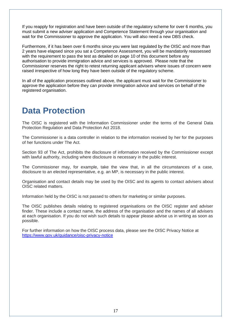If you reapply for registration and have been outside of the regulatory scheme for over 6 months, you must submit a new adviser application and Competence Statement through your organisation and wait for the Commissioner to approve the application. You will also need a new DBS check.

Furthermore, if it has been over 6 months since you were last regulated by the OISC and more than 2 years have elapsed since you sat a Competence Assessment, you will be mandatorily reassessed with the requirement to pass the test as detailed on page 10 of this document before any authorisation to provide immigration advice and services is approved. Please note that the Commissioner reserves the right to retest returning applicant advisers where issues of concern were raised irrespective of how long they have been outside of the regulatory scheme.

In all of the application processes outlined above, the applicant must wait for the Commissioner to approve the application before they can provide immigration advice and services on behalf of the registered organisation.

## **Data Protection**

The OISC is registered with the Information Commissioner under the terms of the General Data Protection Regulation and Data Protection Act 2018.

The Commissioner is a data controller in relation to the information received by her for the purposes of her functions under The Act.

Section 93 of The Act, prohibits the disclosure of information received by the Commissioner except with lawful authority, including where disclosure is necessary in the public interest.

The Commissioner may, for example, take the view that, in all the circumstances of a case, disclosure to an elected representative, e.g. an MP, is necessary in the public interest.

Organisation and contact details may be used by the OISC and its agents to contact advisers about OISC related matters.

Information held by the OISC is not passed to others for marketing or similar purposes.

The OISC publishes details relating to registered organisations on the OISC register and adviser finder. These include a contact name, the address of the organisation and the names of all advisers at each organisation. If you do not wish such details to appear please advise us in writing as soon as possible.

For further information on how the OISC process data, please see the OISC Privacy Notice at <https://www.gov.uk/guidance/oisc-privacy-notice>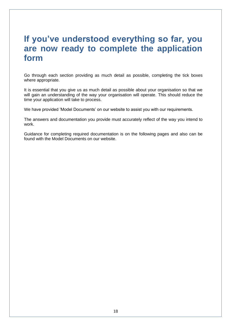## **If you've understood everything so far, you are now ready to complete the application form**

Go through each section providing as much detail as possible, completing the tick boxes where appropriate.

It is essential that you give us as much detail as possible about your organisation so that we will gain an understanding of the way your organisation will operate. This should reduce the time your application will take to process.

We have provided 'Model Documents' on our website to assist you with our requirements.

The answers and documentation you provide must accurately reflect of the way you intend to work.

Guidance for completing required documentation is on the following pages and also can be found with the Model Documents on our website.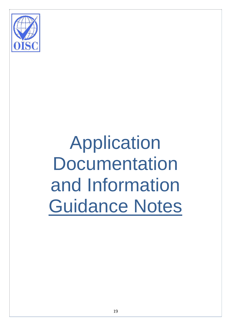

# Application **Documentation** and Information Guidance Notes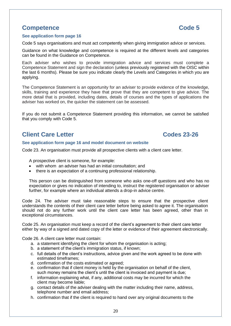## **Competence Code 5**

#### **See application form page 16**

Code 5 says organisations and must act competently when giving immigration advice or services.

Guidance on what knowledge and competence is required at the different levels and categories can be found in the Guidance on Competence.

Each adviser who wishes to provide immigration advice and services must complete a Competence Statement and sign the declaration (unless previously registered with the OISC within the last 6 months). Please be sure you indicate clearly the Levels and Categories in which you are applying.

The Competence Statement is an opportunity for an adviser to provide evidence of the knowledge, skills, training and experience they have that prove that they are competent to give advice. The more detail that is provided, including dates, details of courses and the types of applications the adviser has worked on, the quicker the statement can be assessed.

If you do not submit a Competence Statement providing this information, we cannot be satisfied that you comply with Code 5.

## **Client Care Letter Codes 23-26**

#### **See application form page 16 and model document on website**

Code 23. An organisation must provide all prospective clients with a client care letter.

A prospective client is someone, for example:

- with whom an adviser has had an initial consultation; and
- there is an expectation of a continuing professional relationship.

This person can be distinguished from someone who asks one-off questions and who has no expectation or gives no indication of intending to, instruct the registered organisation or adviser further, for example where an individual attends a drop-in advice centre.

Code 24. The adviser must take reasonable steps to ensure that the prospective client understands the contents of their client care letter before being asked to agree it. The organisation should not do any further work until the client care letter has been agreed, other than in exceptional circumstances.

Code 25. An organisation must keep a record of the client's agreement to their client care letter either by way of a signed and dated copy of the letter or evidence of their agreement electronically.

Code 26. A client care letter must contain:

- a. a statement identifying the client for whom the organisation is acting;
- b. a statement of the client's immigration status, if known;
- c. full details of the client's instructions, advice given and the work agreed to be done with estimated timeframes;
- d. confirmation of the costs estimated or agreed;
- e. confirmation that if client money is held by the organisation on behalf of the client, such money remains the client's until the client is invoiced and payment is due;
- f. information explaining what, if any, additional costs may be incurred for which the client may become liable;
- g. contact details of the adviser dealing with the matter including their name, address, telephone number and email address;
- h. confirmation that if the client is required to hand over any original documents to the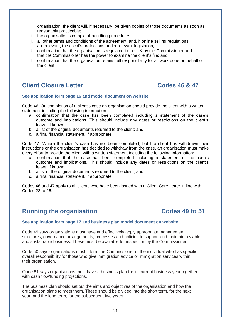organisation, the client will, if necessary, be given copies of those documents as soon as reasonably practicable;

- i. the organisation's complaint-handling procedures;
- j. all other terms and conditions of the agreement, and, if online selling regulations are relevant, the client's protections under relevant legislation;
- k. confirmation that the organisation is regulated in the UK by the Commissioner and that the Commissioner has the power to examine the client's file; and
- l. confirmation that the organisation retains full responsibility for all work done on behalf of the client.

## **Client Closure Letter Codes 46 & 47**

#### **See application form page 16 and model document on website**

Code 46. On completion of a client's case an organisation should provide the client with a written statement including the following information:

- a. confirmation that the case has been completed including a statement of the case's outcome and implications. This should include any dates or restrictions on the client's leave, if known;
- b. a list of the original documents returned to the client; and
- c. a final financial statement, if appropriate.

Code 47. Where the client's case has not been completed, but the client has withdrawn their instructions or the organisation has decided to withdraw from the case, an organisation must make every effort to provide the client with a written statement including the following information:

- a. confirmation that the case has been completed including a statement of the case's outcome and implications. This should include any dates or restrictions on the client's leave, if known;
- b. a list of the original documents returned to the client; and
- c. a final financial statement, if appropriate.

Codes 46 and 47 apply to all clients who have been issued with a Client Care Letter in line with Codes 23 to 26.

## **Running the organisation Codes 49 to 51**

#### **See application form page 17 and business plan model document on website**

Code 49 says organisations must have and effectively apply appropriate management structures, governance arrangements, processes and policies to support and maintain a viable and sustainable business. These must be available for inspection by the Commissioner.

Code 50 says organisations must inform the Commissioner of the individual who has specific overall responsibility for those who give immigration advice or immigration services within their organisation.

Code 51 says organisations must have a business plan for its current business year together with cash flow/funding projections.

The business plan should set out the aims and objectives of the organisation and how the organisation plans to meet them. These should be divided into the short term, for the next year, and the long term, for the subsequent two years.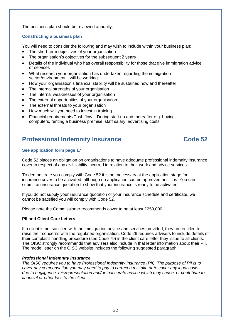The business plan should be reviewed annually.

### **Constructing a business plan**

You will need to consider the following and may wish to include within your business plan:

- The short-term objectives of your organisation
- The organisation's objectives for the subsequent 2 years
- Details of the individual who has overall responsibility for those that give immigration advice or services
- What research your organisation has undertaken regarding the immigration sector/environment it will be working
- How your organisation's financial stability will be sustained now and thereafter
- The internal strengths of your organisation
- The internal weaknesses of your organisation
- The external opportunities of your organisation
- The external threats to your organisation
- How much will you need to invest in training
- Financial requirements/Cash flow During start up and thereafter e.g. buying computers, renting a business premise, staff salary, advertising costs.

## **Professional Indemnity Insurance Code 52**

### **See application form page 17**

Code 52 places an obligation on organisations to have adequate professional indemnity insurance cover in respect of any civil liability incurred in relation to their work and advice services.

To demonstrate you comply with Code 52 it is not necessary at the application stage for insurance cover to be activated, although no application can be approved until it is. You can submit an insurance quotation to show that your insurance is ready to be activated.

If you do not supply your insurance quotation or your insurance schedule and certificate, we cannot be satisfied you will comply with Code 52.

Please note the Commissioner recommends cover to be at least £250,000.

### **PII and Client Care Letters**

If a client is not satisfied with the immigration advice and services provided, they are entitled to raise their concerns with the regulated organisation. Code 26 requires advisers to include details of their complaint-handling procedure (see Code 79) in the client care letter they issue to all clients. The OISC strongly recommends that advisers also include in that letter information about their PII. The model letter on the OISC website includes the following suggested paragraph:

### *Professional Indemnity Insurance*

*The OISC requires you to have Professional Indemnity Insurance (PII). The purpose of PII is to cover any compensation you may need to pay to correct a mistake or to cover any legal costs due to negligence, misrepresentation and/or inaccurate advice which may cause, or contribute to, financial or other loss to the client.*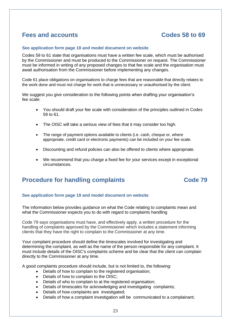## **Fees and accounts Codes 58 to 69**

#### **See application form page 18 and model document on website**

Codes 59 to 61 state that organisations must have a written fee scale, which must be authorised by the Commissioner and must be produced to the Commissioner on request. The Commissioner must be informed in writing of any proposed changes to that fee scale and the organisation must await authorisation from the Commissioner before implementing any changes.

Code 61 place obligations on organisations to charge fees that are reasonable that directly relates to the work done and must not charge for work that is unnecessary or unauthorised by the client.

We suggest you give consideration to the following points when drafting your organisation's fee scale:

- You should draft your fee scale with consideration of the principles outlined in Codes 59 to 61.
- The OISC will take a serious view of fees that it may consider too high.
- The range of payment options available to clients (i.e. cash, cheque or, where appropriate, credit card or electronic payments) can be included on your fee scale.
- Discounting and refund policies can also be offered to clients where appropriate.
- We recommend that you charge a fixed fee for your services except in exceptional circumstances.

## **Procedure for handling complaints Code 79**

### **See application form page 19 and model document on website**

The information below provides guidance on what the Code relating to complaints mean and what the Commissioner expects you to do with regard to complaints handling

Code 79 says organisations must have, and effectively apply, a written procedure for the handling of complaints approved by the Commissioner which includes a statement informing clients that they have the right to complain to the Commissioner at any time.

Your complaint procedure should define the timescales involved for investigating and determining the complaint, as well as the name of the person responsible for any complaint. It must include details of the OISC's complaints scheme and be clear that the client can complain directly to the Commissioner at any time.

A good complaints procedure should include, but is not limited to, the following:

- Details of how to complain to the registered organisation;
- Details of how to complain to the OISC;
- Details of who to complain to at the registered organisation;
- Details of timescales for acknowledging and investigating complaints;
- Details of how complaints are investigated;
- Details of how a complaint investigation will be communicated to a complainant;